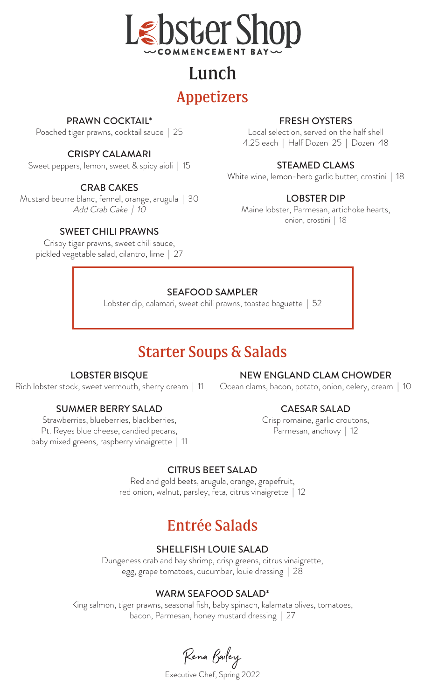

# Lunch Appetizers

## PRAWN COCKTAIL\*

Poached tiger prawns, cocktail sauce | 25

#### CRISPY CALAMARI

Sweet peppers, lemon, sweet & spicy aioli | 15

## CRAB CAKES

Mustard beurre blanc, fennel, orange, arugula | 30 Add Crab Cake | 10

#### SWEET CHILI PRAWNS

Crispy tiger prawns, sweet chili sauce, pickled vegetable salad, cilantro, lime | 27

## FRESH OYSTERS

Local selection, served on the half shell 4.25 each | Half Dozen 25 | Dozen 48

#### STEAMED CLAMS

White wine, lemon-herb garlic butter, crostini | 18

#### LOBSTER DIP

Maine lobster, Parmesan, artichoke hearts, onion, crostini | 18

#### SEAFOOD SAMPLER

Lobster dip, calamari, sweet chili prawns, toasted baguette | 52

## Starter Soups & Salads

#### LOBSTER BISQUE

Rich lobster stock, sweet vermouth, sherry cream | 11

#### SUMMER BERRY SALAD

Strawberries, blueberries, blackberries, Pt. Reyes blue cheese, candied pecans, baby mixed greens, raspberry vinaigrette | 11

#### NEW ENGLAND CLAM CHOWDER

Ocean clams, bacon, potato, onion, celery, cream | 10

## CAESAR SALAD

Crisp romaine, garlic croutons, Parmesan, anchovy | 12

#### CITRUS BEET SALAD

Red and gold beets, arugula, orange, grapefruit, red onion, walnut, parsley, feta, citrus vinaigrette | 12

## Entrée Salads

#### SHELLFISH LOUIE SALAD

Dungeness crab and bay shrimp, crisp greens, citrus vinaigrette, egg, grape tomatoes, cucumber, louie dressing | 28

#### WARM SEAFOOD SALAD\*

King salmon, tiger prawns, seasonal fish, baby spinach, kalamata olives, tomatoes, bacon, Parmesan, honey mustard dressing | 27

Rena Bailey

Executive Chef, Spring 2022